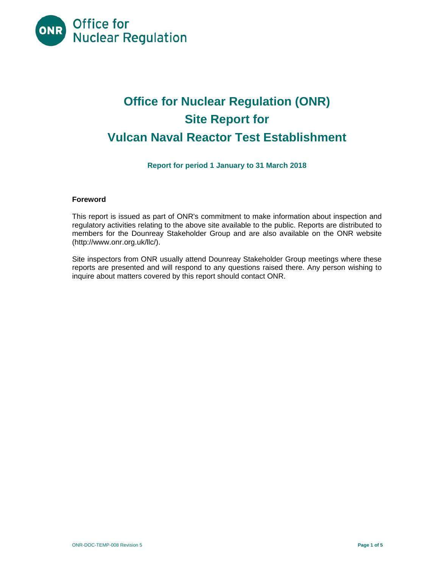

# **Office for Nuclear Regulation (ONR) Site Report for Vulcan Naval Reactor Test Establishment**

**Report for period 1 January to 31 March 2018** 

## **Foreword**

This report is issued as part of ONR's commitment to make information about inspection and regulatory activities relating to the above site available to the public. Reports are distributed to members for the Dounreay Stakeholder Group and are also available on the ONR website (http://www.onr.org.uk/llc/).

Site inspectors from ONR usually attend Dounreay Stakeholder Group meetings where these reports are presented and will respond to any questions raised there. Any person wishing to inquire about matters covered by this report should contact ONR.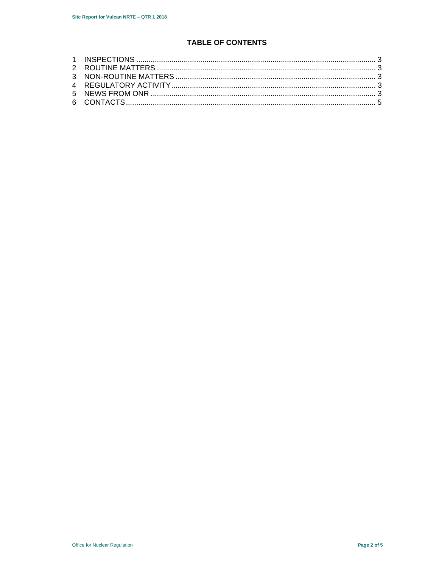## **TABLE OF CONTENTS**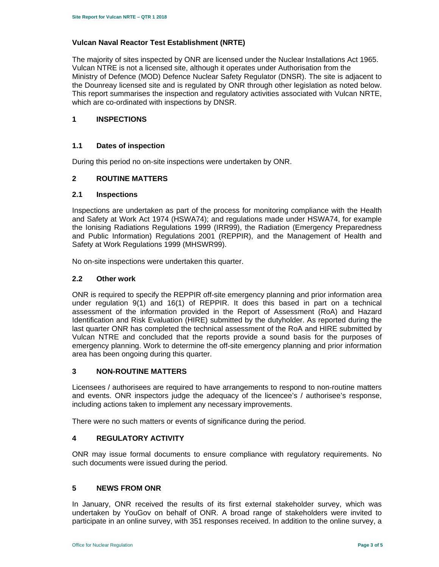#### **Vulcan Naval Reactor Test Establishment (NRTE)**

The majority of sites inspected by ONR are licensed under the Nuclear Installations Act 1965. Vulcan NTRE is not a licensed site, although it operates under Authorisation from the Ministry of Defence (MOD) Defence Nuclear Safety Regulator (DNSR). The site is adjacent to the Dounreay licensed site and is regulated by ONR through other legislation as noted below. This report summarises the inspection and regulatory activities associated with Vulcan NRTE, which are co-ordinated with inspections by DNSR.

## **1 INSPECTIONS**

## **1.1 Dates of inspection**

During this period no on-site inspections were undertaken by ONR.

## **2 ROUTINE MATTERS**

#### **2.1 Inspections**

Inspections are undertaken as part of the process for monitoring compliance with the Health and Safety at Work Act 1974 (HSWA74); and regulations made under HSWA74, for example the Ionising Radiations Regulations 1999 (IRR99), the Radiation (Emergency Preparedness and Public Information) Regulations 2001 (REPPIR), and the Management of Health and Safety at Work Regulations 1999 (MHSWR99).

No on-site inspections were undertaken this quarter.

#### **2.2 Other work**

ONR is required to specify the REPPIR off-site emergency planning and prior information area under regulation 9(1) and 16(1) of REPPIR. It does this based in part on a technical assessment of the information provided in the Report of Assessment (RoA) and Hazard Identification and Risk Evaluation (HIRE) submitted by the dutyholder. As reported during the last quarter ONR has completed the technical assessment of the RoA and HIRE submitted by Vulcan NTRE and concluded that the reports provide a sound basis for the purposes of emergency planning. Work to determine the off-site emergency planning and prior information area has been ongoing during this quarter.

## **3 NON-ROUTINE MATTERS**

Licensees / authorisees are required to have arrangements to respond to non-routine matters and events. ONR inspectors judge the adequacy of the licencee's / authorisee's response, including actions taken to implement any necessary improvements.

There were no such matters or events of significance during the period.

#### **4 REGULATORY ACTIVITY**

ONR may issue formal documents to ensure compliance with regulatory requirements. No such documents were issued during the period.

## **5 NEWS FROM ONR**

In January, ONR received the results of its first external stakeholder survey, which was undertaken by YouGov on behalf of ONR. A broad range of stakeholders were invited to participate in an online survey, with 351 responses received. In addition to the online survey, a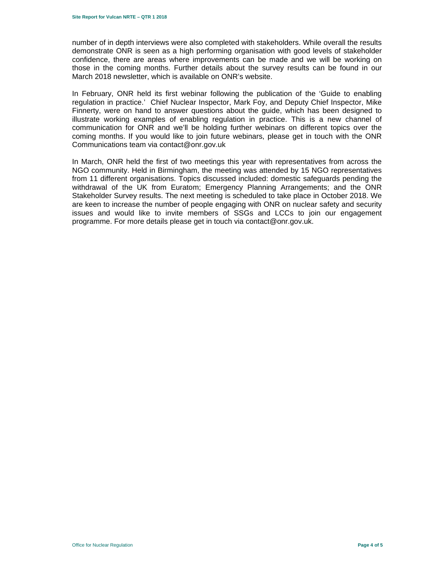number of in depth interviews were also completed with stakeholders. While overall the results demonstrate ONR is seen as a high performing organisation with good levels of stakeholder confidence, there are areas where improvements can be made and we will be working on those in the coming months. Further details about the survey results can be found in our March 2018 newsletter, which is available on ONR's website.

In February, ONR held its first webinar following the publication of the 'Guide to enabling regulation in practice.' Chief Nuclear Inspector, Mark Foy, and Deputy Chief Inspector, Mike Finnerty, were on hand to answer questions about the guide, which has been designed to illustrate working examples of enabling regulation in practice. This is a new channel of communication for ONR and we'll be holding further webinars on different topics over the coming months. If you would like to join future webinars, please get in touch with the ONR Communications team via contact@onr.gov.uk

In March, ONR held the first of two meetings this year with representatives from across the NGO community. Held in Birmingham, the meeting was attended by 15 NGO representatives from 11 different organisations. Topics discussed included: domestic safeguards pending the withdrawal of the UK from Euratom; Emergency Planning Arrangements; and the ONR Stakeholder Survey results. The next meeting is scheduled to take place in October 2018. We are keen to increase the number of people engaging with ONR on nuclear safety and security issues and would like to invite members of SSGs and LCCs to join our engagement programme. For more details please get in touch via contact@onr.gov.uk.